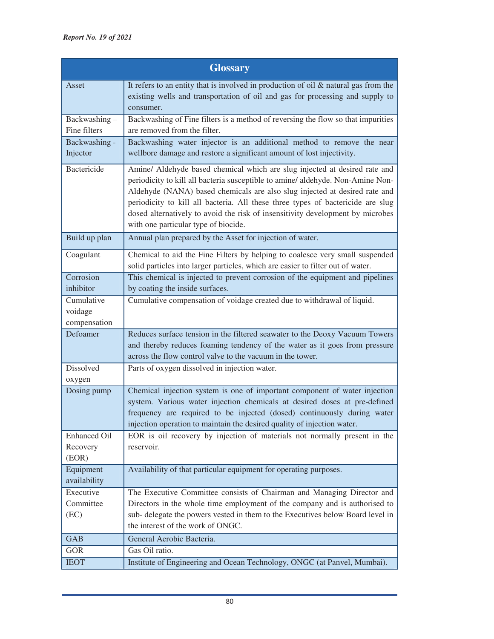| <b>Glossary</b>                          |                                                                                                                                                                                                                                                                                                                                                                                                                                                          |
|------------------------------------------|----------------------------------------------------------------------------------------------------------------------------------------------------------------------------------------------------------------------------------------------------------------------------------------------------------------------------------------------------------------------------------------------------------------------------------------------------------|
| Asset                                    | It refers to an entity that is involved in production of oil $\&$ natural gas from the<br>existing wells and transportation of oil and gas for processing and supply to<br>consumer.                                                                                                                                                                                                                                                                     |
| Backwashing-<br>Fine filters             | Backwashing of Fine filters is a method of reversing the flow so that impurities<br>are removed from the filter.                                                                                                                                                                                                                                                                                                                                         |
| Backwashing -<br>Injector                | Backwashing water injector is an additional method to remove the near<br>wellbore damage and restore a significant amount of lost injectivity.                                                                                                                                                                                                                                                                                                           |
| <b>Bactericide</b>                       | Amine/ Aldehyde based chemical which are slug injected at desired rate and<br>periodicity to kill all bacteria susceptible to amine/ aldehyde. Non-Amine Non-<br>Aldehyde (NANA) based chemicals are also slug injected at desired rate and<br>periodicity to kill all bacteria. All these three types of bactericide are slug<br>dosed alternatively to avoid the risk of insensitivity development by microbes<br>with one particular type of biocide. |
| Build up plan                            | Annual plan prepared by the Asset for injection of water.                                                                                                                                                                                                                                                                                                                                                                                                |
| Coagulant                                | Chemical to aid the Fine Filters by helping to coalesce very small suspended<br>solid particles into larger particles, which are easier to filter out of water.                                                                                                                                                                                                                                                                                          |
| Corrosion                                | This chemical is injected to prevent corrosion of the equipment and pipelines                                                                                                                                                                                                                                                                                                                                                                            |
| inhibitor<br>Cumulative                  | by coating the inside surfaces.<br>Cumulative compensation of voidage created due to withdrawal of liquid.                                                                                                                                                                                                                                                                                                                                               |
| voidage<br>compensation                  |                                                                                                                                                                                                                                                                                                                                                                                                                                                          |
| Defoamer                                 | Reduces surface tension in the filtered seawater to the Deoxy Vacuum Towers                                                                                                                                                                                                                                                                                                                                                                              |
|                                          | and thereby reduces foaming tendency of the water as it goes from pressure<br>across the flow control valve to the vacuum in the tower.                                                                                                                                                                                                                                                                                                                  |
| Dissolved                                | Parts of oxygen dissolved in injection water.                                                                                                                                                                                                                                                                                                                                                                                                            |
| oxygen                                   |                                                                                                                                                                                                                                                                                                                                                                                                                                                          |
| Dosing pump                              | Chemical injection system is one of important component of water injection<br>system. Various water injection chemicals at desired doses at pre-defined<br>frequency are required to be injected (dosed) continuously during water<br>injection operation to maintain the desired quality of injection water.                                                                                                                                            |
| <b>Enhanced Oil</b><br>Recovery<br>(EOR) | EOR is oil recovery by injection of materials not normally present in the<br>reservoir.                                                                                                                                                                                                                                                                                                                                                                  |
| Equipment<br>availability                | Availability of that particular equipment for operating purposes.                                                                                                                                                                                                                                                                                                                                                                                        |
| Executive                                | The Executive Committee consists of Chairman and Managing Director and                                                                                                                                                                                                                                                                                                                                                                                   |
| Committee                                | Directors in the whole time employment of the company and is authorised to                                                                                                                                                                                                                                                                                                                                                                               |
| (EC)                                     | sub- delegate the powers vested in them to the Executives below Board level in<br>the interest of the work of ONGC.                                                                                                                                                                                                                                                                                                                                      |
| <b>GAB</b>                               | General Aerobic Bacteria.                                                                                                                                                                                                                                                                                                                                                                                                                                |
| <b>GOR</b>                               | Gas Oil ratio.                                                                                                                                                                                                                                                                                                                                                                                                                                           |
| <b>IEOT</b>                              | Institute of Engineering and Ocean Technology, ONGC (at Panvel, Mumbai).                                                                                                                                                                                                                                                                                                                                                                                 |